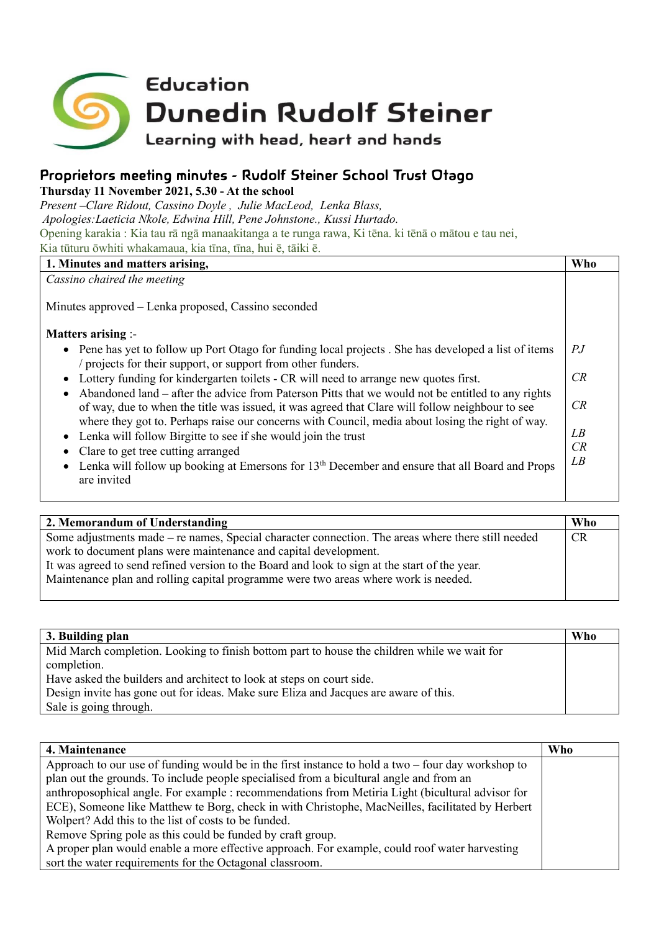

## **Proprietors meeting minutes - Rudolf Steiner School Trust Otago**

**Thursday 11 November 2021, 5.30 - At the school**

*Present –Clare Ridout, Cassino Doyle , Julie MacLeod, Lenka Blass, Apologies:Laeticia Nkole, Edwina Hill, Pene Johnstone., Kussi Hurtado.* Opening karakia : Kia tau rā ngā manaakitanga a te runga rawa, Ki tēna. ki tēnā o mātou e tau nei, Kia tūturu ōwhiti whakamaua, kia tīna, tīna, hui ē, tāiki ē.

| 1. Minutes and matters arising,                                                                                                                                                                      | Who            |
|------------------------------------------------------------------------------------------------------------------------------------------------------------------------------------------------------|----------------|
| Cassino chaired the meeting                                                                                                                                                                          |                |
| Minutes approved – Lenka proposed, Cassino seconded                                                                                                                                                  |                |
| <b>Matters arising :-</b>                                                                                                                                                                            |                |
| • Pene has yet to follow up Port Otago for funding local projects . She has developed a list of items<br>/ projects for their support, or support from other funders.                                | P <sub>J</sub> |
| Lottery funding for kindergarten toilets - CR will need to arrange new quotes first.                                                                                                                 | CR             |
| Abandoned land – after the advice from Paterson Pitts that we would not be entitled to any rights<br>of way, due to when the title was issued, it was agreed that Clare will follow neighbour to see | CR             |
| where they got to. Perhaps raise our concerns with Council, media about losing the right of way.                                                                                                     |                |
| Lenka will follow Birgitte to see if she would join the trust<br>$\bullet$                                                                                                                           | LB             |
| Clare to get tree cutting arranged                                                                                                                                                                   | CR             |
| Lenka will follow up booking at Emersons for 13 <sup>th</sup> December and ensure that all Board and Props<br>are invited                                                                            | LB             |
|                                                                                                                                                                                                      |                |

| 2. Memorandum of Understanding                                                                     | Who       |
|----------------------------------------------------------------------------------------------------|-----------|
| Some adjustments made – re names, Special character connection. The areas where there still needed | <b>CR</b> |
| work to document plans were maintenance and capital development.                                   |           |
| It was agreed to send refined version to the Board and look to sign at the start of the year.      |           |
| Maintenance plan and rolling capital programme were two areas where work is needed.                |           |
|                                                                                                    |           |

| 3. Building plan                                                                            | <b>Who</b> |
|---------------------------------------------------------------------------------------------|------------|
| Mid March completion. Looking to finish bottom part to house the children while we wait for |            |
| completion.                                                                                 |            |
| Have asked the builders and architect to look at steps on court side.                       |            |
| Design invite has gone out for ideas. Make sure Eliza and Jacques are aware of this.        |            |
| Sale is going through.                                                                      |            |

| 4. Maintenance                                                                                       | Who |
|------------------------------------------------------------------------------------------------------|-----|
| Approach to our use of funding would be in the first instance to hold a two $-$ four day workshop to |     |
| plan out the grounds. To include people specialised from a bicultural angle and from an              |     |
| anthroposophical angle. For example : recommendations from Metiria Light (bicultural advisor for     |     |
| ECE), Someone like Matthew te Borg, check in with Christophe, MacNeilles, facilitated by Herbert     |     |
| Wolpert? Add this to the list of costs to be funded.                                                 |     |
| Remove Spring pole as this could be funded by craft group.                                           |     |
| A proper plan would enable a more effective approach. For example, could roof water harvesting       |     |
| sort the water requirements for the Octagonal classroom.                                             |     |